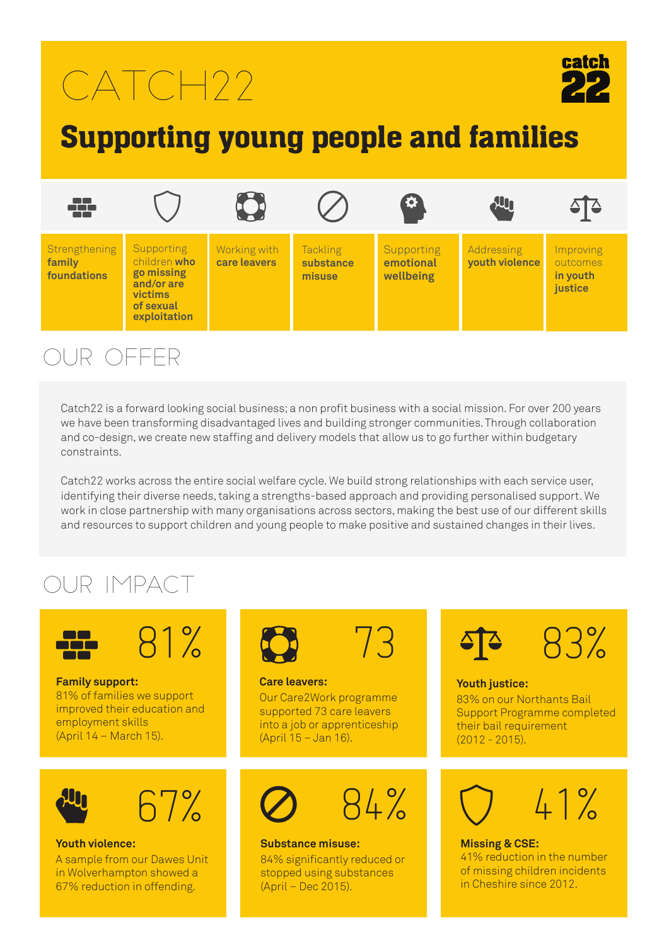# $CATCH22$



## Supporting young people and families



### Our OFFER

Catch22 is a forward looking social business; a non profit business with a social mission. For over 200 years we have been transforming disadvantaged lives and building stronger communities. Through collaboration and co-design, we create new staffing and delivery models that allow us to go further within budgetary constraints.

Catch22 works across the entire social welfare cycle. We build strong relationships with each service user, identifying their diverse needs, taking a strengths-based approach and providing personalised support. We work in close partnership with many organisations across sectors, making the best use of our different skills and resources to support children and young people to make positive and sustained changes in their lives.

### Our Impact



**Family support:**  81% of families we support improved their education and employment skills (April 14 – March 15).





#### **Youth violence:**

A sample from our Dawes Unit in Wolverhampton showed a 67% reduction in offending.





**Care leavers:**  Our Care2Work programme supported 73 care leavers into a job or apprenticeship (April 15 – Jan 16).



#### **Substance misuse:** 84% significantly reduced or stopped using substances (April – Dec 2015).



#### **Youth justice:**

83% on our Northants Bail Support Programme completed their bail requirement (2012 - 2015).



**Missing & CSE:**  41% reduction in the number of missing children incidents in Cheshire since 2012.